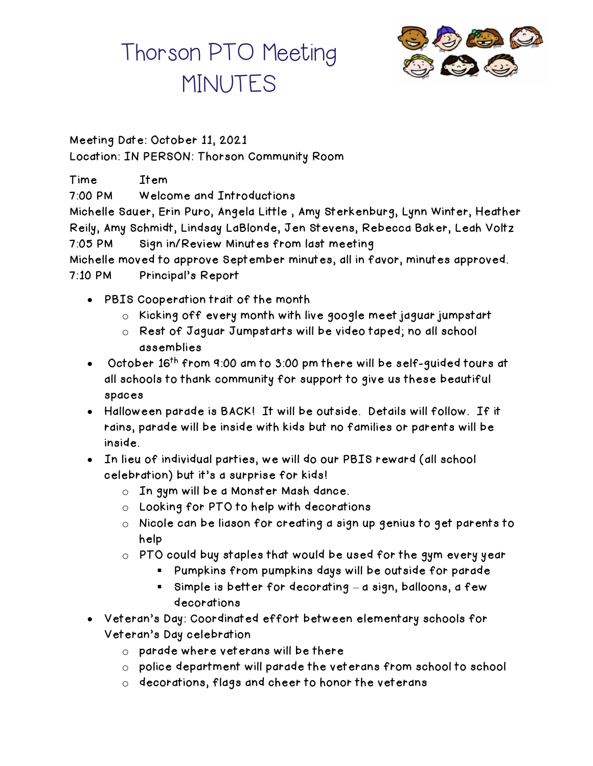

Meeting Date: October 11, 2021 Location: IN PERSON: Thorson Community Room

Time Item 7:00 PM Welcome and Introductions Michelle Sauer, Erin Puro, Angela Little , Amy Sterkenburg, Lynn Winter, Heather Reily, Amy Schmidt, Lindsay LaBlonde, Jen Stevens, Rebecca Baker, Leah Voltz 7:05 PM Sign in/Review Minutes from last meeting Michelle moved to approve September minutes, all in favor, minutes approved. 7:10 PM Principal's Report

- PBIS Cooperation trait of the month
	- o Kicking off every month with live google meet jaguar jumpstart
	- o Rest of Jaguar Jumpstarts will be video taped; no all school assemblies
- October 16<sup>th</sup> from 9:00 am to 3:00 pm there will be self-guided tours at all schools to thank community for support to give us these beautiful spaces
- Halloween parade is BACK! It will be outside. Details will follow. If it rains, parade will be inside with kids but no families or parents will be inside.
- In lieu of individual parties, we will do our PBIS reward (all school celebration) but it's a surprise for kids!
	- o In gym will be a Monster Mash dance.
	- o Looking for PTO to help with decorations
	- $\circ$  Nicole can be liason for creating a sign up genius to get parents to help
	- o PTO could buy staples that would be used for the gym every year
		- Pumpkins from pumpkins days will be outside for parade
		- Simple is better for decorating a sign, balloons, a few decorations
- Veteran's Day: Coordinated effort between elementary schools for Veteran's Day celebration
	- o parade where veterans will be there
	- o police department will parade the veterans from school to school
	- o decorations, flags and cheer to honor the veterans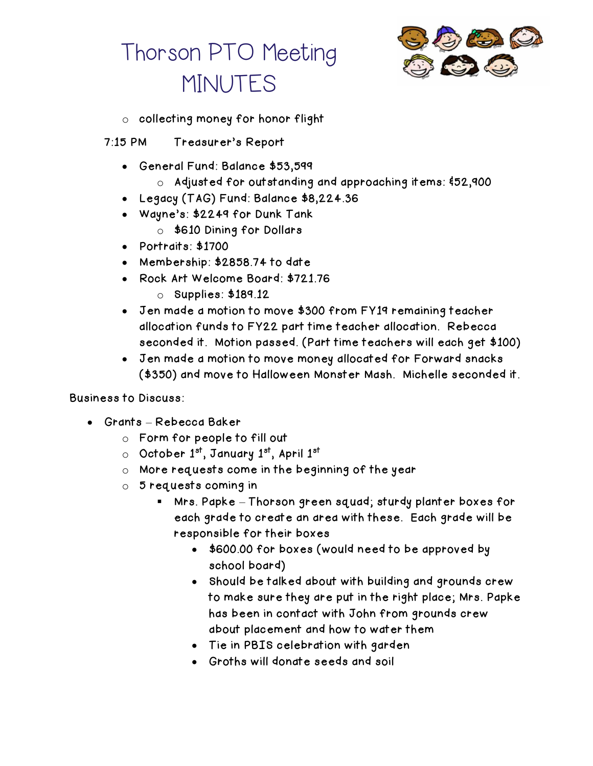

- o collecting money for honor flight
- 7:15 PM Treasurer's Report
	- General Fund: Balance \$53,599
		- o Adjusted for outstanding and approaching items: &52,900
	- Legacy (TAG) Fund: Balance \$8,224.36
	- Wayne's: \$2249 for Dunk Tank
		- o \$610 Dining for Dollars
	- Portraits: \$1700
	- Membership: \$2858.74 to date
	- Rock Art Welcome Board: \$721.76
		- o Supplies: \$189.12
	- Jen made a motion to move \$300 from FY19 remaining teacher allocation funds to FY22 part time teacher allocation. Rebecca seconded it. Motion passed. (Part time teachers will each get \$100)
	- Jen made a motion to move money allocated for Forward snacks (\$350) and move to Halloween Monster Mash. Michelle seconded it.

#### Business to Discuss:

- Grants Rebecca Baker
	- o Form for people to fill out
	- o October 1st, January 1st, April 1st
	- o More requests come in the beginning of the year
	- o 5 requests coming in
		- Mrs. Papke Thorson green squad; sturdy planter boxes for each grade to create an area with these. Each grade will be responsible for their boxes
			- \$600.00 for boxes (would need to be approved by school board)
			- Should be talked about with building and grounds crew to make sure they are put in the right place; Mrs. Papke has been in contact with John from grounds crew about placement and how to water them
			- Tie in PBIS celebration with garden
			- Groths will donate seeds and soil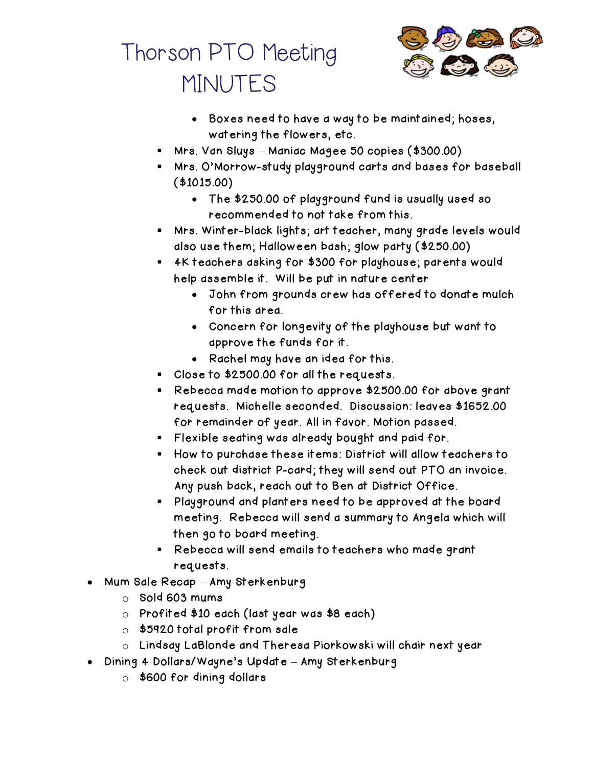

- Boxes need to have a way to be maintained; hoses, watering the flowers, etc.
- Mrs. Van Sluys Maniac Magee 50 copies (\$300.00)
- Mrs. O'Morrow-study playground carts and bases for baseball (\$1015.00)
	- The \$250.00 of playground fund is usually used so recommended to not take from this.
- Mrs. Winter-black lights; art teacher, many grade levels would also use them; Halloween bash; glow party (\$250.00)
- 4K teachers asking for \$300 for playhouse; parents would help assemble it. Will be put in nature center
	- John from grounds crew has offered to donate mulch for this area.
	- Concern for longevity of the playhouse but want to approve the funds for it.
	- Rachel may have an idea for this.
- Close to \$2500.00 for all the requests.
- Rebecca made motion to approve \$2500.00 for above grant requests. Michelle seconded. Discussion: leaves \$1652.00 for remainder of year. All in favor. Motion passed.
- Flexible seating was already bought and paid for.
- How to purchase these items: District will allow teachers to check out district P-card; they will send out PTO an invoice. Any push back, reach out to Ben at District Office.
- Playground and planters need to be approved at the board meeting. Rebecca will send a summary to Angela which will then go to board meeting.
- Rebecca will send emails to teachers who made grant requests.
- Mum Sale Recap Amy Sterkenburg
	- o Sold 603 mums
	- o Profited \$10 each (last year was \$8 each)
	- o \$5920 total profit from sale
	- o Lindsay LaBlonde and Theresa Piorkowski will chair next year
- Dining 4 Dollars/Wayne's Update Amy Sterkenburg
	- o \$600 for dining dollars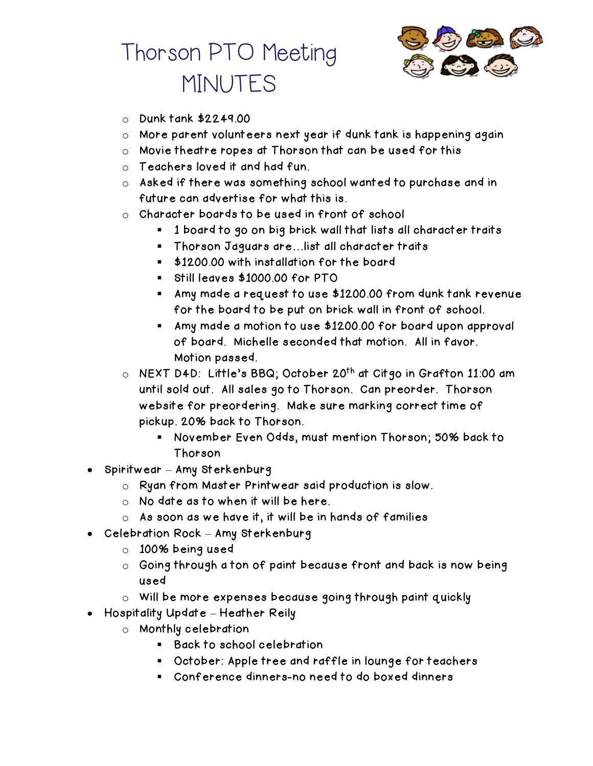

- $\circ$  Dunk tank \$2249.00
- o More parent volunteers next year if dunk tank is happening again
- o Movie theatre ropes at Thorson that can be used for this
- o Teachers loved it and had fun.
- o Asked if there was something school wanted to purchase and in future can advertise for what this is.
- $\circ$  Character boards to be used in front of school
	- 1 board to go on big brick wall that lists all character traits
	- Thorson Jaguars are... list all character traits
	- \$1200.00 with installation for the board
	- Still leaves \$1000.00 for PTO
	- Amy made a request to use \$1200.00 from dunk tank revenue for the board to be put on brick wall in front of school.
	- Amy made a motion to use \$1200.00 for board upon approval of board. Michelle seconded that motion. All in favor. Motion passed.
- o NEXT D4D: Little's BBQ; October 20<sup>th</sup> at Citgo in Grafton 11:00 am until sold out. All sales go to Thorson. Can preorder. Thorson website for preordering. Make sure marking correct time of pickup. 20% back to Thorson.
	- November Even Odds, must mention Thorson; 50% back to Thorson
- Spiritwear Amy Sterkenburg
	- o Ryan from Master Printwear said production is slow.
	- o No date as to when it will be here.
	- $\circ$  As soon as we have it, it will be in hands of families
- Celebration Rock Amy Sterkenburg
	- o 100% being used
	- o Going through a ton of paint because front and back is now being used
	- o Will be more expenses because going through paint quickly
- Hospitality Update Heather Reily
	- o Monthly celebration
		- Back to school celebration
		- October: Apple tree and raffle in lounge for teachers
		- Conference dinners-no need to do boxed dinners